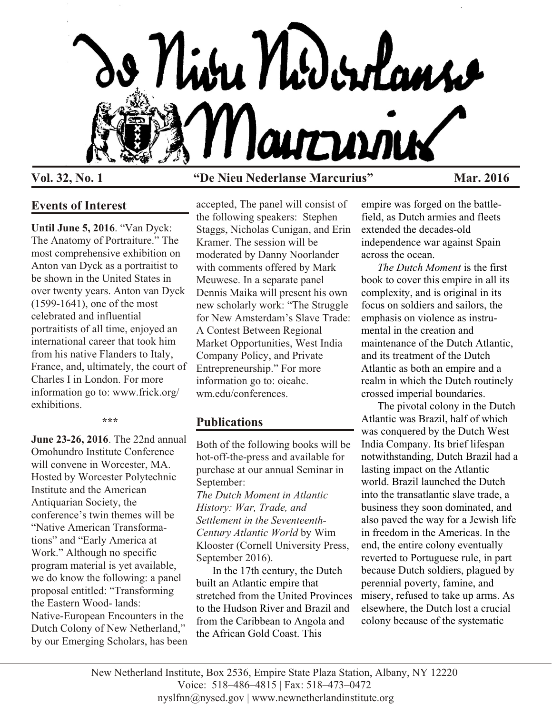

# **Vol. 32, No. 1 "De Nieu Nederlanse Marcurius" Mar. 2016**

# **Events of Interest**

**Until June 5, 2016**. "Van Dyck: The Anatomy of Portraiture." The most comprehensive exhibition on Anton van Dyck as a portraitist to be shown in the United States in over twenty years. Anton van Dyck (1599-1641), one of the most celebrated and influential portraitists of all time, enjoyed an international career that took him from his native Flanders to Italy, France, and, ultimately, the court of Charles I in London. For more information go to: www.frick.org/ exhibitions.

**\*\*\***

**June 23-26, 2016**. The 22nd annual Omohundro Institute Conference will convene in Worcester, MA. Hosted by Worcester Polytechnic Institute and the American Antiquarian Society, the conference's twin themes will be "Native American Transformations" and "Early America at Work." Although no specific program material is yet available, we do know the following: a panel proposal entitled: "Transforming the Eastern Wood- lands: Native-European Encounters in the Dutch Colony of New Netherland," by our Emerging Scholars, has been

accepted, The panel will consist of the following speakers: Stephen Staggs, Nicholas Cunigan, and Erin Kramer. The session will be moderated by Danny Noorlander with comments offered by Mark Meuwese. In a separate panel Dennis Maika will present his own new scholarly work: "The Struggle for New Amsterdam's Slave Trade: A Contest Between Regional Market Opportunities, West India Company Policy, and Private Entrepreneurship." For more information go to: oieahc. wm.edu/conferences.

# **Publications**

Both of the following books will be hot-off-the-press and available for purchase at our annual Seminar in September: *The Dutch Moment in Atlantic History: War, Trade, and Settlement in the Seventeenth-Century Atlantic World* by Wim Klooster (Cornell University Press, September 2016).

In the 17th century, the Dutch built an Atlantic empire that stretched from the United Provinces to the Hudson River and Brazil and from the Caribbean to Angola and the African Gold Coast. This

empire was forged on the battlefield, as Dutch armies and fleets extended the decades-old independence war against Spain across the ocean.

*The Dutch Moment* is the first book to cover this empire in all its complexity, and is original in its focus on soldiers and sailors, the emphasis on violence as instrumental in the creation and maintenance of the Dutch Atlantic, and its treatment of the Dutch Atlantic as both an empire and a realm in which the Dutch routinely crossed imperial boundaries.

The pivotal colony in the Dutch Atlantic was Brazil, half of which was conquered by the Dutch West India Company. Its brief lifespan notwithstanding, Dutch Brazil had a lasting impact on the Atlantic world. Brazil launched the Dutch into the transatlantic slave trade, a business they soon dominated, and also paved the way for a Jewish life in freedom in the Americas. In the end, the entire colony eventually reverted to Portuguese rule, in part because Dutch soldiers, plagued by perennial poverty, famine, and misery, refused to take up arms. As elsewhere, the Dutch lost a crucial colony because of the systematic

New Netherland Institute, Box 2536, Empire State Plaza Station, Albany, NY 12220 Voice: 518–486–4815 | Fax: 518–473–0472 nyslfnn@nysed.gov | www.newnetherlandinstitute.org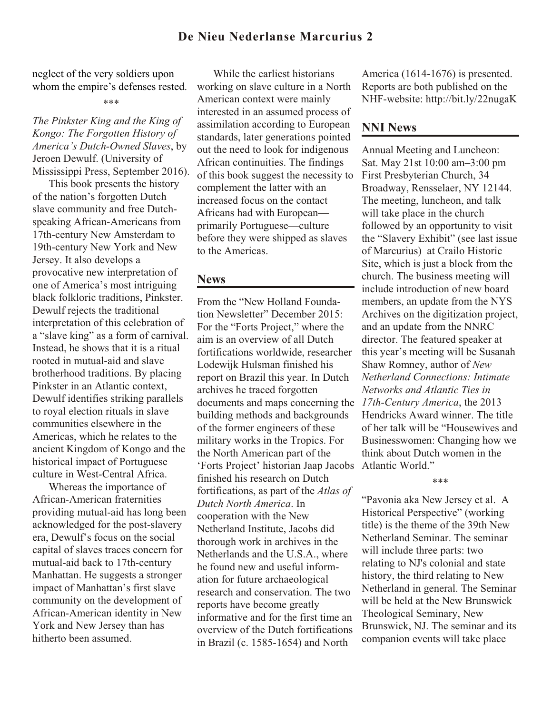## **De Nieu Nederlanse Marcurius 2**

neglect of the very soldiers upon whom the empire's defenses rested.

## *The Pinkster King and the King of Kongo: The Forgotten History of America's Dutch-Owned Slaves*, by Jeroen Dewulf. (University of Mississippi Press, September 2016).

This book presents the history of the nation's forgotten Dutch slave community and free Dutchspeaking African-Americans from 17th-century New Amsterdam to 19th-century New York and New Jersey. It also develops a provocative new interpretation of one of America's most intriguing black folkloric traditions, Pinkster. Dewulf rejects the traditional interpretation of this celebration of a "slave king" as a form of carnival. Instead, he shows that it is a ritual rooted in mutual-aid and slave brotherhood traditions. By placing Pinkster in an Atlantic context, Dewulf identifies striking parallels to royal election rituals in slave communities elsewhere in the Americas, which he relates to the ancient Kingdom of Kongo and the historical impact of Portuguese culture in West-Central Africa.

Whereas the importance of African-American fraternities providing mutual-aid has long been acknowledged for the post-slavery era, Dewulf's focus on the social capital of slaves traces concern for mutual-aid back to 17th-century Manhattan. He suggests a stronger impact of Manhattan's first slave community on the development of African-American identity in New York and New Jersey than has hitherto been assumed.

While the earliest historians working on slave culture in a North American context were mainly interested in an assumed process of assimilation according to European standards, later generations pointed out the need to look for indigenous African continuities. The findings of this book suggest the necessity to complement the latter with an increased focus on the contact Africans had with European primarily Portuguese—culture before they were shipped as slaves to the Americas.

## **News**

From the "New Holland Foundation Newsletter" December 2015: For the "Forts Project," where the aim is an overview of all Dutch fortifications worldwide, researcher Lodewijk Hulsman finished his report on Brazil this year. In Dutch archives he traced forgotten documents and maps concerning the building methods and backgrounds of the former engineers of these military works in the Tropics. For the North American part of the 'Forts Project' historian Jaap Jacobs finished his research on Dutch fortifications, as part of the *Atlas of Dutch North America*. In cooperation with the New Netherland Institute, Jacobs did thorough work in archives in the Netherlands and the U.S.A., where he found new and useful information for future archaeological research and conservation. The two reports have become greatly informative and for the first time an overview of the Dutch fortifications in Brazil (c. 1585-1654) and North

America (1614-1676) is presented. Reports are both published on the NHF-website: http://bit.ly/22nugaK

## **NNI News**

Annual Meeting and Luncheon: Sat. May 21st 10:00 am–3:00 pm First Presbyterian Church, 34 Broadway, Rensselaer, NY 12144. The meeting, luncheon, and talk will take place in the church followed by an opportunity to visit the "Slavery Exhibit" (see last issue of Marcurius) at Crailo Historic Site, which is just a block from the church. The business meeting will include introduction of new board members, an update from the NYS Archives on the digitization project, and an update from the NNRC director. The featured speaker at this year's meeting will be Susanah Shaw Romney, author of *New Netherland Connections: Intimate Networks and Atlantic Ties in 17th-Century America*, the 2013 Hendricks Award winner. The title of her talk will be "Housewives and Businesswomen: Changing how we think about Dutch women in the Atlantic World."

### \*\*\*

"Pavonia aka New Jersey et al. A Historical Perspective" (working title) is the theme of the 39th New Netherland Seminar. The seminar will include three parts: two relating to NJ's colonial and state history, the third relating to New Netherland in general. The Seminar will be held at the New Brunswick Theological Seminary, New Brunswick, NJ. The seminar and its companion events will take place

<sup>\*\*\*</sup>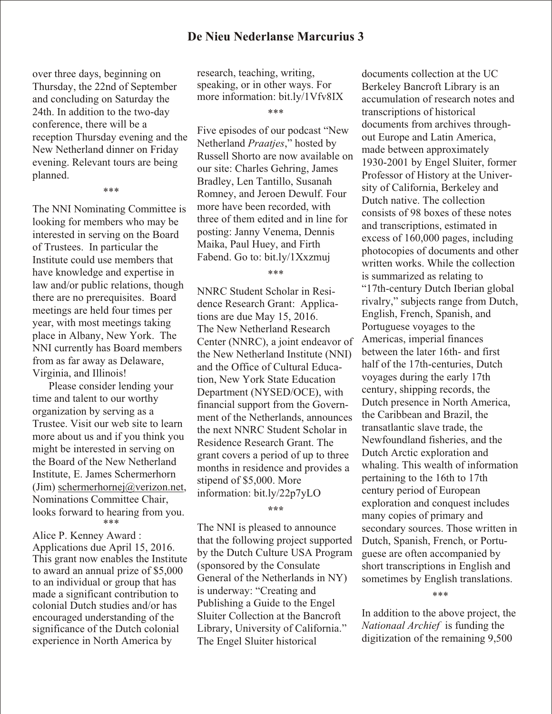over three days, beginning on Thursday, the 22nd of September and concluding on Saturday the 24th. In addition to the two-day conference, there will be a reception Thursday evening and the New Netherland dinner on Friday evening. Relevant tours are being planned.

\*\*\*

The NNI Nominating Committee is looking for members who may be interested in serving on the Board of Trustees. In particular the Institute could use members that have knowledge and expertise in law and/or public relations, though there are no prerequisites. Board meetings are held four times per year, with most meetings taking place in Albany, New York. The NNI currently has Board members from as far away as Delaware, Virginia, and Illinois!

Please consider lending your time and talent to our worthy organization by serving as a Trustee. Visit our web site to learn more about us and if you think you might be interested in serving on the Board of the New Netherland Institute, E. James Schermerhorn (Jim) [schermerhornej@verizon.net](mailto:schermerhornej@verizon.net), Nominations Committee Chair, looks forward to hearing from you. \*\*\*

Alice P. Kenney Award : Applications due April 15, 2016. This grant now enables the Institute to award an annual prize of \$5,000 to an individual or group that has made a significant contribution to colonial Dutch studies and/or has encouraged understanding of the significance of the Dutch colonial experience in North America by

research, teaching, writing, speaking, or in other ways. For more information: bit.ly/1Vfv8IX

\*\*\*

Five episodes of our podcast "New Netherland *Praatjes*," hosted by Russell Shorto are now available on our site: Charles Gehring, James Bradley, Len Tantillo, Susanah Romney, and Jeroen Dewulf. Four more have been recorded, with three of them edited and in line for posting: Janny Venema, Dennis Maika, Paul Huey, and Firth Fabend. Go to: bit.ly/1Xxzmuj

## \*\*\*

NNRC Student Scholar in Residence Research Grant: Applications are due May 15, 2016. The New Netherland Research Center (NNRC), a joint endeavor of the New Netherland Institute (NNI) and the Office of Cultural Education, New York State Education Department (NYSED/OCE), with financial support from the Government of the Netherlands, announces the next NNRC Student Scholar in Residence Research Grant. The grant covers a period of up to three months in residence and provides a stipend of \$5,000. More information: bit.ly/22p7yLO

**\*\*\***

The NNI is pleased to announce that the following project supported by the Dutch Culture USA Program (sponsored by the Consulate General of the Netherlands in NY) is underway: "Creating and Publishing a Guide to the Engel Sluiter Collection at the Bancroft Library, University of California." The Engel Sluiter historical

documents collection at the UC Berkeley Bancroft Library is an accumulation of research notes and transcriptions of historical documents from archives throughout Europe and Latin America, made between approximately 1930-2001 by Engel Sluiter, former Professor of History at the University of California, Berkeley and Dutch native. The collection consists of 98 boxes of these notes and transcriptions, estimated in excess of 160,000 pages, including photocopies of documents and other written works. While the collection is summarized as relating to "17th-century Dutch Iberian global rivalry," subjects range from Dutch, English, French, Spanish, and Portuguese voyages to the Americas, imperial finances between the later 16th- and first half of the 17th-centuries, Dutch voyages during the early 17th century, shipping records, the Dutch presence in North America, the Caribbean and Brazil, the transatlantic slave trade, the Newfoundland fisheries, and the Dutch Arctic exploration and whaling. This wealth of information pertaining to the 16th to 17th century period of European exploration and conquest includes many copies of primary and secondary sources. Those written in Dutch, Spanish, French, or Portuguese are often accompanied by short transcriptions in English and sometimes by English translations.

### \*\*\*

In addition to the above project, the *Nationaal Archief* is funding the digitization of the remaining 9,500